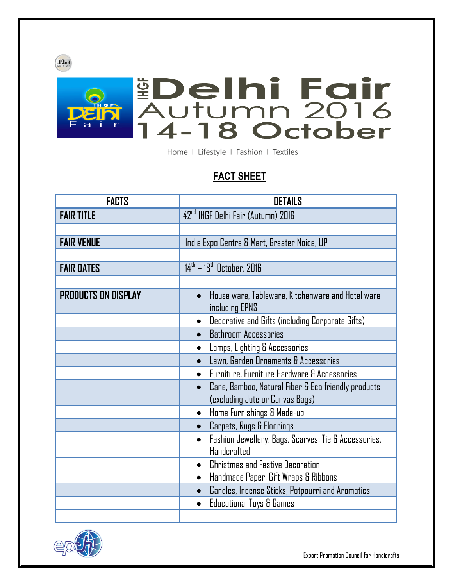

## **Delhi Fair<br>Autumn 2016<br>14-18 October**

Home I Lifestyle I Fashion I Textiles

## **FACT SHEET**

| <b>FACTS</b>               | <b>DETAILS</b>                                                                                            |
|----------------------------|-----------------------------------------------------------------------------------------------------------|
| <b>FAIR TITLE</b>          | 42 <sup>nd</sup> IHGF Delhi Fair (Autumn) 2016                                                            |
|                            |                                                                                                           |
| <b>FAIR VENUE</b>          | India Expo Centre & Mart, Greater Noida, UP                                                               |
|                            |                                                                                                           |
| <b>FAIR DATES</b>          | $14^{\text{th}}$ – $18^{\text{th}}$ October, 2016                                                         |
|                            |                                                                                                           |
| <b>PRODUCTS ON DISPLAY</b> | House ware, Tableware, Kitchenware and Hotel ware<br>$\bullet$<br>including EPNS                          |
|                            | Decorative and Gifts (including Corporate Gifts)<br>$\bullet$                                             |
|                            | <b>Bathroom Accessories</b>                                                                               |
|                            | Lamps, Lighting & Accessories                                                                             |
|                            | Lawn, Garden Ornaments & Accessories                                                                      |
|                            | Furniture, Furniture Hardware & Accessories                                                               |
|                            | Cane, Bamboo, Natural Fiber & Eco friendly products<br>$\bullet$<br>(excluding Jute or Canvas Bags)       |
|                            | Home Furnishings & Made-up<br>$\bullet$                                                                   |
|                            | Carpets, Rugs & Floorings                                                                                 |
|                            | Fashion Jewellery, Bags, Scarves, Tie & Accessories,<br>$\bullet$<br><b>Handcrafted</b>                   |
|                            | <b>Christmas and Festive Decoration</b><br>$\bullet$<br>Handmade Paper, Gift Wraps & Ribbons<br>$\bullet$ |
|                            | Candles, Incense Sticks, Potpourri and Aromatics<br>$\bullet$                                             |
|                            | <b>Educational Toys &amp; Games</b>                                                                       |
|                            |                                                                                                           |



Export Promotion Council for Handicrafts